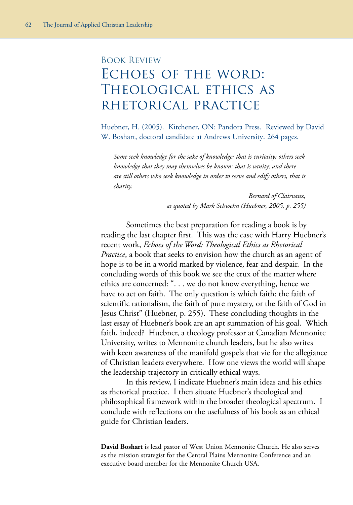## Book Review Echoes of the word: Theological ethics as rhetorical practice

Huebner, H. (2005). Kitchener, ON: Pandora Press. Reviewed by David W. Boshart, doctoral candidate at Andrews University. 264 pages.

*Some seek knowledge for the sake of knowledge: that is curiosity; others seek knowledge that they may themselves be known: that is vanity; and there are still others who seek knowledge in order to serve and edify others, that is charity.*

> *Bernard of Clairvaux, as quoted by Mark Schwehn (Huebner, 2005, p. 255)*

Sometimes the best preparation for reading a book is by reading the last chapter first. This was the case with Harry Huebner's recent work, *Echoes of the Word: Theological Ethics as Rhetorical Practice*, a book that seeks to envision how the church as an agent of hope is to be in a world marked by violence, fear and despair. In the concluding words of this book we see the crux of the matter where ethics are concerned: ". . . we do not know everything, hence we have to act on faith. The only question is which faith: the faith of scientific rationalism, the faith of pure mystery, or the faith of God in Jesus Christ" (Huebner, p. 255). These concluding thoughts in the last essay of Huebner's book are an apt summation of his goal. Which faith, indeed? Huebner, a theology professor at Canadian Mennonite University, writes to Mennonite church leaders, but he also writes with keen awareness of the manifold gospels that vie for the allegiance of Christian leaders everywhere. How one views the world will shape the leadership trajectory in critically ethical ways.

In this review, I indicate Huebner's main ideas and his ethics as rhetorical practice. I then situate Huebner's theological and philosophical framework within the broader theological spectrum. I conclude with reflections on the usefulness of his book as an ethical guide for Christian leaders.

**David Boshart** is lead pastor of West Union Mennonite Church. He also serves as the mission strategist for the Central Plains Mennonite Conference and an executive board member for the Mennonite Church USA.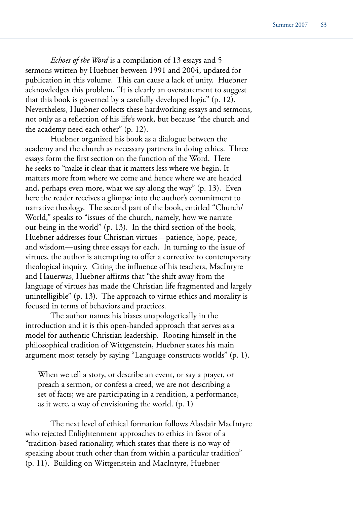*Echoes of the Word* is a compilation of 13 essays and 5 sermons written by Huebner between 1991 and 2004, updated for publication in this volume. This can cause a lack of unity. Huebner acknowledges this problem, "It is clearly an overstatement to suggest that this book is governed by a carefully developed logic" (p. 12). Nevertheless, Huebner collects these hardworking essays and sermons, not only as a reflection of his life's work, but because "the church and the academy need each other" (p. 12).

Huebner organized his book as a dialogue between the academy and the church as necessary partners in doing ethics. Three essays form the first section on the function of the Word. Here he seeks to "make it clear that it matters less where we begin. It matters more from where we come and hence where we are headed and, perhaps even more, what we say along the way" (p. 13). Even here the reader receives a glimpse into the author's commitment to narrative theology. The second part of the book, entitled "Church/ World," speaks to "issues of the church, namely, how we narrate our being in the world" (p. 13). In the third section of the book, Huebner addresses four Christian virtues—patience, hope, peace, and wisdom—using three essays for each. In turning to the issue of virtues, the author is attempting to offer a corrective to contemporary theological inquiry. Citing the influence of his teachers, MacIntyre and Hauerwas, Huebner affirms that "the shift away from the language of virtues has made the Christian life fragmented and largely unintelligible" (p. 13). The approach to virtue ethics and morality is focused in terms of behaviors and practices.

The author names his biases unapologetically in the introduction and it is this open-handed approach that serves as a model for authentic Christian leadership. Rooting himself in the philosophical tradition of Wittgenstein, Huebner states his main argument most tersely by saying "Language constructs worlds" (p. 1).

When we tell a story, or describe an event, or say a prayer, or preach a sermon, or confess a creed, we are not describing a set of facts; we are participating in a rendition, a performance, as it were, a way of envisioning the world. (p. 1)

The next level of ethical formation follows Alasdair MacIntyre who rejected Enlightenment approaches to ethics in favor of a "tradition-based rationality, which states that there is no way of speaking about truth other than from within a particular tradition" (p. 11). Building on Wittgenstein and MacIntyre, Huebner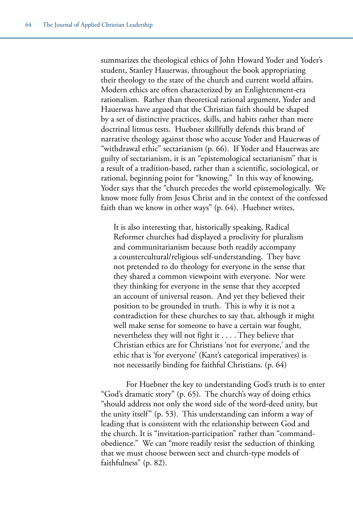summarizes the theological ethics of John Howard Yoder and Yoder's student, Stanley Hauerwas, throughout the book appropriating their theology to the state of the church and current world affairs. Modern ethics are often characterized by an Enlightenment-era rationalism. Rather than theoretical rational argument, Yoder and Hauerwas have argued that the Christian faith should be shaped by a set of distinctive practices, skills, and habits rather than mere doctrinal litmus tests. Huebner skillfully defends this brand of narrative theology against those who accuse Yoder and Hauerwas of "withdrawal ethic" sectarianism (p. 66). If Yoder and Hauerwas are guilty of sectarianism, it is an "epistemological sectarianism" that is a result of a tradition-based, rather than a scientific, sociological, or rational, beginning point for "knowing." In this way of knowing, Yoder says that the "church precedes the world epistemologically. We know more fully from Jesus Christ and in the context of the confessed faith than we know in other ways" (p. 64). Huebner writes,

It is also interesting that, historically speaking, Radical Reformer churches had displayed a proclivity for pluralism and communitarianism because both readily accompany a countercultural/religious self-understanding. They have not pretended to do theology for everyone in the sense that they shared a common viewpoint with everyone. Nor were they thinking for everyone in the sense that they accepted an account of universal reason. And yet they believed their position to be grounded in truth. This is why it is not a contradiction for these churches to say that, although it might well make sense for someone to have a certain war fought, nevertheless they will not fight it . . . . They believe that Christian ethics are for Christians 'not for everyone,' and the ethic that is 'for everyone' (Kant's categorical imperatives) is not necessarily binding for faithful Christians. (p. 64)

For Huebner the key to understanding God's truth is to enter "God's dramatic story" (p. 65). The church's way of doing ethics "should address not only the word side of the word-deed unity, but the unity itself" (p. 53). This understanding can inform a way of leading that is consistent with the relationship between God and the church. It is "invitation-participation" rather than "commandobedience." We can "more readily resist the seduction of thinking that we must choose between sect and church-type models of faithfulness" (p. 82).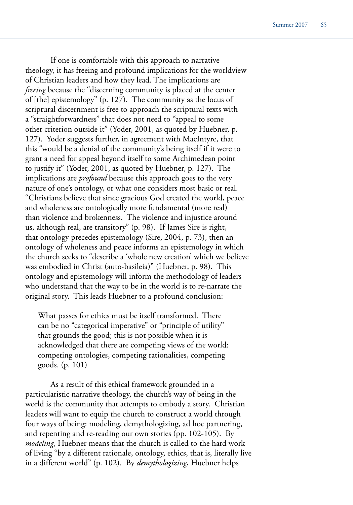If one is comfortable with this approach to narrative theology, it has freeing and profound implications for the worldview of Christian leaders and how they lead. The implications are *freeing* because the "discerning community is placed at the center of [the] epistemology" (p. 127). The community as the locus of scriptural discernment is free to approach the scriptural texts with a "straightforwardness" that does not need to "appeal to some other criterion outside it" (Yoder, 2001, as quoted by Huebner, p. 127). Yoder suggests further, in agreement with MacIntyre, that this "would be a denial of the community's being itself if it were to grant a need for appeal beyond itself to some Archimedean point to justify it" (Yoder, 2001, as quoted by Huebner, p. 127). The implications are *profound* because this approach goes to the very nature of one's ontology, or what one considers most basic or real. "Christians believe that since gracious God created the world, peace and wholeness are ontologically more fundamental (more real) than violence and brokenness. The violence and injustice around us, although real, are transitory" (p. 98). If James Sire is right, that ontology precedes epistemology (Sire, 2004, p. 73), then an ontology of wholeness and peace informs an epistemology in which the church seeks to "describe a 'whole new creation' which we believe was embodied in Christ (auto-basileia)" (Huebner, p. 98). This ontology and epistemology will inform the methodology of leaders who understand that the way to be in the world is to re-narrate the original story. This leads Huebner to a profound conclusion:

What passes for ethics must be itself transformed. There can be no "categorical imperative" or "principle of utility" that grounds the good; this is not possible when it is acknowledged that there are competing views of the world: competing ontologies, competing rationalities, competing goods. (p. 101)

As a result of this ethical framework grounded in a particularistic narrative theology, the church's way of being in the world is the community that attempts to embody a story. Christian leaders will want to equip the church to construct a world through four ways of being: modeling, demythologizing, ad hoc partnering, and repenting and re-reading our own stories (pp. 102-105). By *modeling*, Huebner means that the church is called to the hard work of living "by a different rationale, ontology, ethics, that is, literally live in a different world" (p. 102). By *demythologizing*, Huebner helps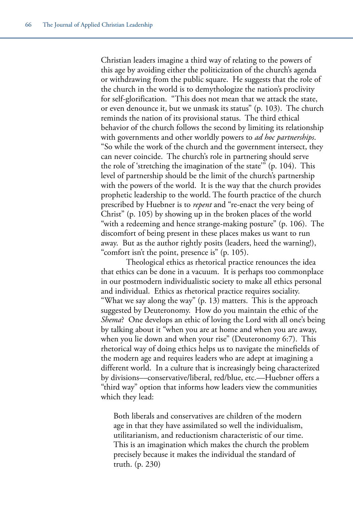Christian leaders imagine a third way of relating to the powers of this age by avoiding either the politicization of the church's agenda or withdrawing from the public square. He suggests that the role of the church in the world is to demythologize the nation's proclivity for self-glorification. "This does not mean that we attack the state, or even denounce it, but we unmask its status" (p. 103). The church reminds the nation of its provisional status. The third ethical behavior of the church follows the second by limiting its relationship with governments and other worldly powers to *ad hoc partnerships*. "So while the work of the church and the government intersect, they can never coincide. The church's role in partnering should serve the role of 'stretching the imagination of the state'" (p. 104). This level of partnership should be the limit of the church's partnership with the powers of the world. It is the way that the church provides prophetic leadership to the world. The fourth practice of the church prescribed by Huebner is to *repent* and "re-enact the very being of Christ" (p. 105) by showing up in the broken places of the world "with a redeeming and hence strange-making posture" (p. 106). The discomfort of being present in these places makes us want to run away. But as the author rightly posits (leaders, heed the warning!), "comfort isn't the point, presence is" (p. 105).

Theological ethics as rhetorical practice renounces the idea that ethics can be done in a vacuum. It is perhaps too commonplace in our postmodern individualistic society to make all ethics personal and individual. Ethics as rhetorical practice requires sociality. "What we say along the way" (p. 13) matters. This is the approach suggested by Deuteronomy. How do you maintain the ethic of the *Shema*? One develops an ethic of loving the Lord with all one's being by talking about it "when you are at home and when you are away, when you lie down and when your rise" (Deuteronomy 6:7). This rhetorical way of doing ethics helps us to navigate the minefields of the modern age and requires leaders who are adept at imagining a different world. In a culture that is increasingly being characterized by divisions––conservative/liberal, red/blue, etc.––Huebner offers a "third way" option that informs how leaders view the communities which they lead:

Both liberals and conservatives are children of the modern age in that they have assimilated so well the individualism, utilitarianism, and reductionism characteristic of our time. This is an imagination which makes the church the problem precisely because it makes the individual the standard of truth. (p. 230)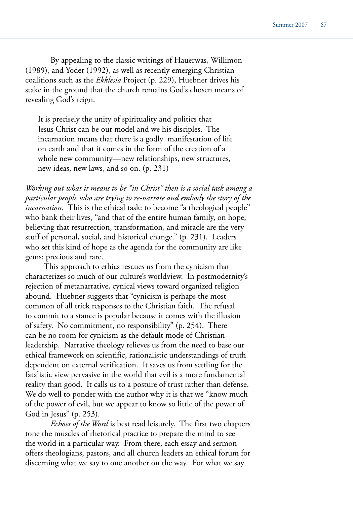By appealing to the classic writings of Hauerwas, Willimon (1989), and Yoder (1992), as well as recently emerging Christian coalitions such as the *Ekklesia* Project (p. 229), Huebner drives his stake in the ground that the church remains God's chosen means of revealing God's reign.

It is precisely the unity of spirituality and politics that Jesus Christ can be our model and we his disciples. The incarnation means that there is a godly manifestation of life on earth and that it comes in the form of the creation of a whole new community—new relationships, new structures, new ideas, new laws, and so on. (p. 231)

*Working out what it means to be "in Christ" then is a social task among a particular people who are trying to re-narrate and embody the story of the incarnation*. This is the ethical task: to become "a theological people" who bank their lives, "and that of the entire human family, on hope; believing that resurrection, transformation, and miracle are the very stuff of personal, social, and historical change." (p. 231). Leaders who set this kind of hope as the agenda for the community are like gems: precious and rare.

 This approach to ethics rescues us from the cynicism that characterizes so much of our culture's worldview. In postmodernity's rejection of metanarrative, cynical views toward organized religion abound. Huebner suggests that "cynicism is perhaps the most common of all trick responses to the Christian faith. The refusal to commit to a stance is popular because it comes with the illusion of safety. No commitment, no responsibility" (p. 254). There can be no room for cynicism as the default mode of Christian leadership. Narrative theology relieves us from the need to base our ethical framework on scientific, rationalistic understandings of truth dependent on external verification. It saves us from settling for the fatalistic view pervasive in the world that evil is a more fundamental reality than good. It calls us to a posture of trust rather than defense. We do well to ponder with the author why it is that we "know much of the power of evil, but we appear to know so little of the power of God in Jesus" (p. 253).

*Echoes of the Word* is best read leisurely. The first two chapters tone the muscles of rhetorical practice to prepare the mind to see the world in a particular way. From there, each essay and sermon offers theologians, pastors, and all church leaders an ethical forum for discerning what we say to one another on the way. For what we say